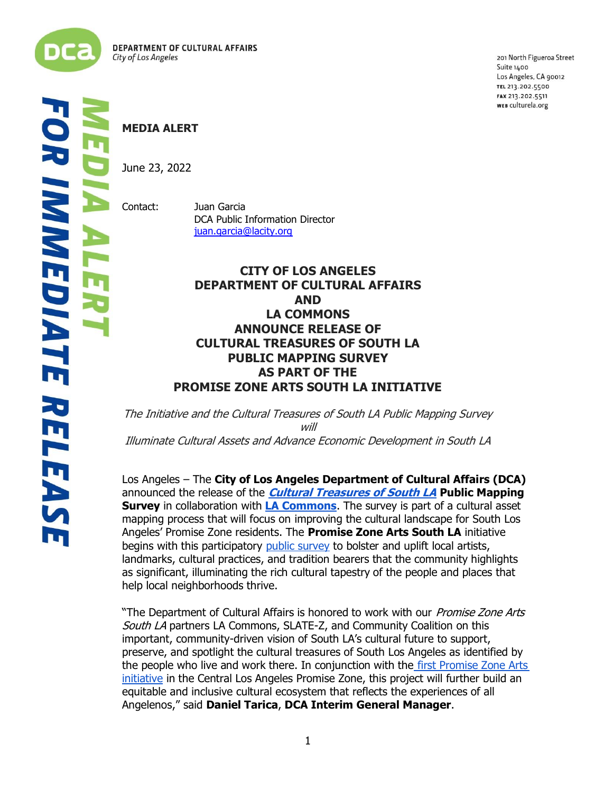

R IMMEDIATE RELEAS

**LI** 

201 North Figueroa Street Suite 1400 Los Angeles, CA 90012 TEL 213.202.5500 FAX 213.202.5511 WEB culturela.org

# **MEDIA ALERT** June 23, 2022 í

Contact: Juan Garcia DCA Public Information Director [juan.garcia@lacity.org](mailto:juan.garcia@lacity.org)

# **CITY OF LOS ANGELES DEPARTMENT OF CULTURAL AFFAIRS AND LA COMMONS ANNOUNCE RELEASE OF CULTURAL TREASURES OF SOUTH LA PUBLIC MAPPING SURVEY AS PART OF THE PROMISE ZONE ARTS SOUTH LA INITIATIVE**

The Initiative and the Cultural Treasures of South LA Public Mapping Survey will Illuminate Cultural Assets and Advance Economic Development in South LA

Los Angeles – The **City of Los Angeles Department of Cultural Affairs (DCA)** announced the release of the **[Cultural Treasures of South LA](http://southlaculture.org/) Public Mapping Survey** in collaboration with **[LA Commons](https://www.lacommons.org/)**. The survey is part of a cultural asset mapping process that will focus on improving the cultural landscape for South Los Angeles' Promise Zone residents. The **Promise Zone Arts South LA** initiative begins with this participatory [public survey](https://bit.ly/3NqULWI) to bolster and uplift local artists, landmarks, cultural practices, and tradition bearers that the community highlights as significant, illuminating the rich cultural tapestry of the people and places that help local neighborhoods thrive.

"The Department of Cultural Affairs is honored to work with our *Promise Zone Arts* South LA partners LA Commons, SLATE-Z, and Community Coalition on this important, community-driven vision of South LA's cultural future to support, preserve, and spotlight the cultural treasures of South Los Angeles as identified by the people who live and work there. In conjunction with the first Promise Zone Arts [initiative](http://promisezonearts.org/) in the Central Los Angeles Promise Zone, this project will further build an equitable and inclusive cultural ecosystem that reflects the experiences of all Angelenos," said **Daniel Tarica**, **DCA Interim General Manager**.

1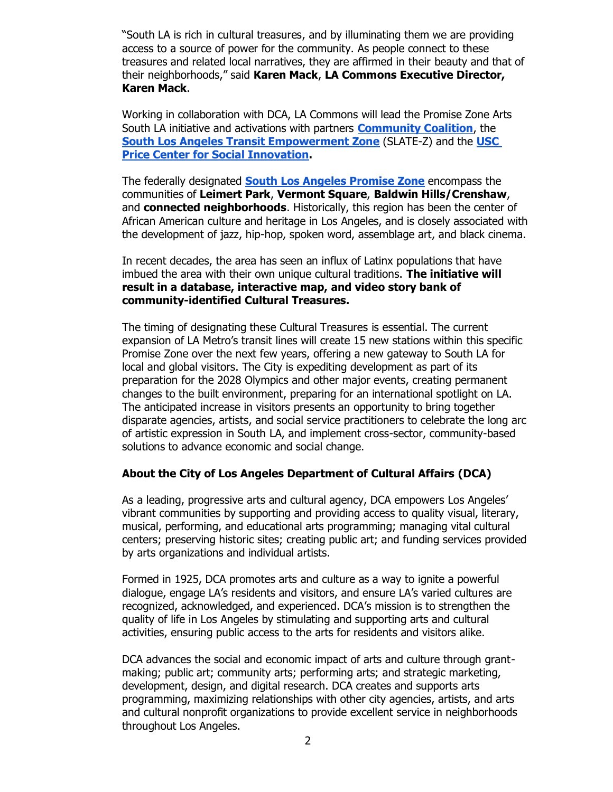"South LA is rich in cultural treasures, and by illuminating them we are providing access to a source of power for the community. As people connect to these treasures and related local narratives, they are affirmed in their beauty and that of their neighborhoods," said **Karen Mack**, **LA Commons Executive Director, Karen Mack**.

Working in collaboration with DCA, LA Commons will lead the Promise Zone Arts South LA initiative and activations with partners **[Community Coalition](https://cocosouthla.org/)**, the **[South Los Angeles Transit Empowerment Zone](https://slatez.org/)** (SLATE-Z) and the **[USC](https://socialinnovation.usc.edu/)  [Price Center for Social Innovation.](https://socialinnovation.usc.edu/)**

The federally designated **[South Los Angeles Promise Zone](http://southlaculture.org/)** encompass the communities of **Leimert Park**, **Vermont Square**, **Baldwin Hills/Crenshaw**, and **connected neighborhoods**. Historically, this region has been the center of African American culture and heritage in Los Angeles, and is closely associated with the development of jazz, hip-hop, spoken word, assemblage art, and black cinema.

In recent decades, the area has seen an influx of Latinx populations that have imbued the area with their own unique cultural traditions. **The initiative will result in a database, interactive map, and video story bank of community-identified Cultural Treasures.**

The timing of designating these Cultural Treasures is essential. The current expansion of LA Metro's transit lines will create 15 new stations within this specific Promise Zone over the next few years, offering a new gateway to South LA for local and global visitors. The City is expediting development as part of its preparation for the 2028 Olympics and other major events, creating permanent changes to the built environment, preparing for an international spotlight on LA. The anticipated increase in visitors presents an opportunity to bring together disparate agencies, artists, and social service practitioners to celebrate the long arc of artistic expression in South LA, and implement cross-sector, community-based solutions to advance economic and social change.

### **About the City of Los Angeles Department of Cultural Affairs (DCA)**

As a leading, progressive arts and cultural agency, DCA empowers Los Angeles' vibrant communities by supporting and providing access to quality visual, literary, musical, performing, and educational arts programming; managing vital cultural centers; preserving historic sites; creating public art; and funding services provided by arts organizations and individual artists.

Formed in 1925, DCA promotes arts and culture as a way to ignite a powerful dialogue, engage LA's residents and visitors, and ensure LA's varied cultures are recognized, acknowledged, and experienced. DCA's mission is to strengthen the quality of life in Los Angeles by stimulating and supporting arts and cultural activities, ensuring public access to the arts for residents and visitors alike.

DCA advances the social and economic impact of arts and culture through grantmaking; public art; community arts; performing arts; and strategic marketing, development, design, and digital research. DCA creates and supports arts programming, maximizing relationships with other city agencies, artists, and arts and cultural nonprofit organizations to provide excellent service in neighborhoods throughout Los Angeles.